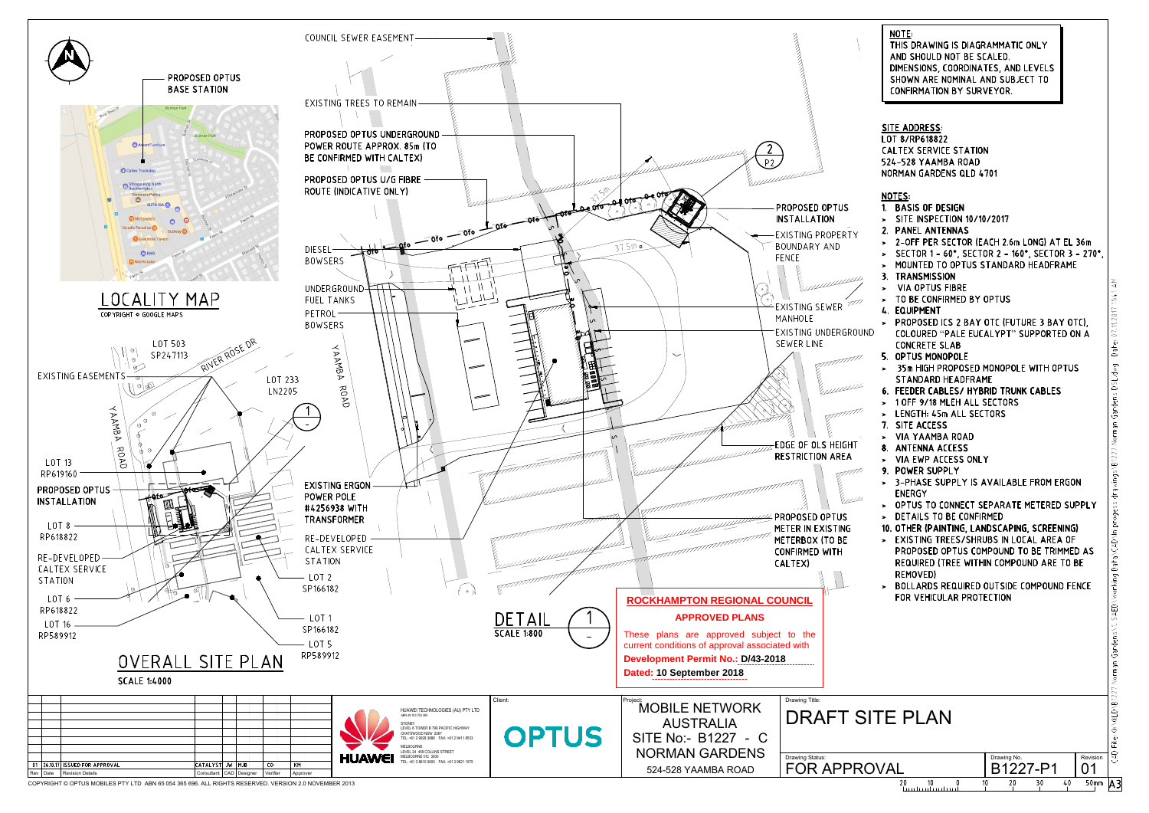

| NOTE:<br>THIS DRAWING IS DIAGRAMMATIC ONLY<br>AND SHOULD NOT BE SCALED.<br>DIMENSIONS, COORDINATES, AND LEVELS<br>SHOWN ARE NOMINAL AND SUBJECT TO<br><b>CONFIRMATION BY SURVEYOR.</b><br><u>SITE ADDRESS:</u><br>LOT 8/RP618822<br><b>CALTEX SERVICE STATION</b><br>524-528 YAAMBA ROAD<br><b>NORMAN GARDENS QLD 4701</b><br><b>NOTES:</b><br>1. BASIS OF DESIGN<br>> SITE INSPECTION 10/10/2017<br>2. PANEL ANTENNAS<br>> 2-OFF PER SECTOR (EACH 2.6m LONG) AT EL 36m<br>> SECTOR 1 - 60°, SECTOR 2 - 160°, SECTOR 3 - 270°,<br>MOUNTED TO OPTUS STANDARD HEADFRAME<br>$\geq$<br>3. TRANSMISSION<br>Date: 07.11.2017 11:41 AM<br>> VIA OPTUS FIBRE<br>TO BE CONFIRMED BY OPTUS<br>$\geq$<br>4. EQUIPMENT<br>PROPOSED ICS 2 BAY OTC (FUTURE 3 BAY OTC),<br>$\blacktriangleright$<br>)<br>COLOURED "PALE EUCALYPT" SUPPORTED ON A<br><b>CONCRETE SLAB</b><br>5. OPTUS MONOPOLE<br>an Gardens DSL.dwg<br>> 35m HIGH PROPOSED MONOPOLE WITH OPTUS<br><b>STANDARD HEADFRAME</b><br>6. FEEDER CABLES/ HYBRID TRUNK CABLES<br>1 OFF 9/18 MLEH ALL SECTORS<br>$\geq$<br>> LENGTH: 45m ALL SECTORS<br>7. SITE ACCESS<br><b>VIA YAAMBA ROAD</b><br>⋗<br><b>ANTENNA ACCESS</b><br>8.<br><b>VIA EWP ACCESS ONLY</b><br>×.<br>POWER SUPPLY<br>9.<br>3-PHASE SUPPLY IS AVAILABLE FROM ERGON<br>×<br>ENERGY<br>OPTUS TO CONNECT SEPARATE METERED SUPPLY<br>><br>DETAILS TO BE CONFIRMED<br>><br>10. OTHER (PAINTING, LANDSCAPING, SCREENING) |
|---------------------------------------------------------------------------------------------------------------------------------------------------------------------------------------------------------------------------------------------------------------------------------------------------------------------------------------------------------------------------------------------------------------------------------------------------------------------------------------------------------------------------------------------------------------------------------------------------------------------------------------------------------------------------------------------------------------------------------------------------------------------------------------------------------------------------------------------------------------------------------------------------------------------------------------------------------------------------------------------------------------------------------------------------------------------------------------------------------------------------------------------------------------------------------------------------------------------------------------------------------------------------------------------------------------------------------------------------------------------------------------------------------------------------------|
|                                                                                                                                                                                                                                                                                                                                                                                                                                                                                                                                                                                                                                                                                                                                                                                                                                                                                                                                                                                                                                                                                                                                                                                                                                                                                                                                                                                                                                 |
| Jardens\1. SAED\Working Data\CAD\In progess drawings\B1227 Norm<br>EXISTING TREES/SHRUBS IN LOCAL AREA OF<br>PROPOSED OPTUS COMPOUND TO BE TRIMMED AS<br>REQUIRED (TREE WITHIN COMPOUND ARE TO BE<br>REMOVED)<br>BOLLARDS REQUIRED OUTSIDE COMPOUND FENCE<br>><br>FOR VEHICULAR PROTECTION                                                                                                                                                                                                                                                                                                                                                                                                                                                                                                                                                                                                                                                                                                                                                                                                                                                                                                                                                                                                                                                                                                                                      |

|                                    |                         |                  | Norman<br>27                                        |
|------------------------------------|-------------------------|------------------|-----------------------------------------------------|
| <b>ITE PLAN</b>                    |                         |                  | <b>B12</b><br>╱<br>$Q \wedge Q \sqcup D$<br>نة<br>定 |
| OVAL                               | Drawing No.<br>B1227-P1 | Revision         | ş<br>τj                                             |
| 20<br>10<br>la a chanada an chanac | 20<br>40<br>10<br>30    | 50 <sub>mm</sub> |                                                     |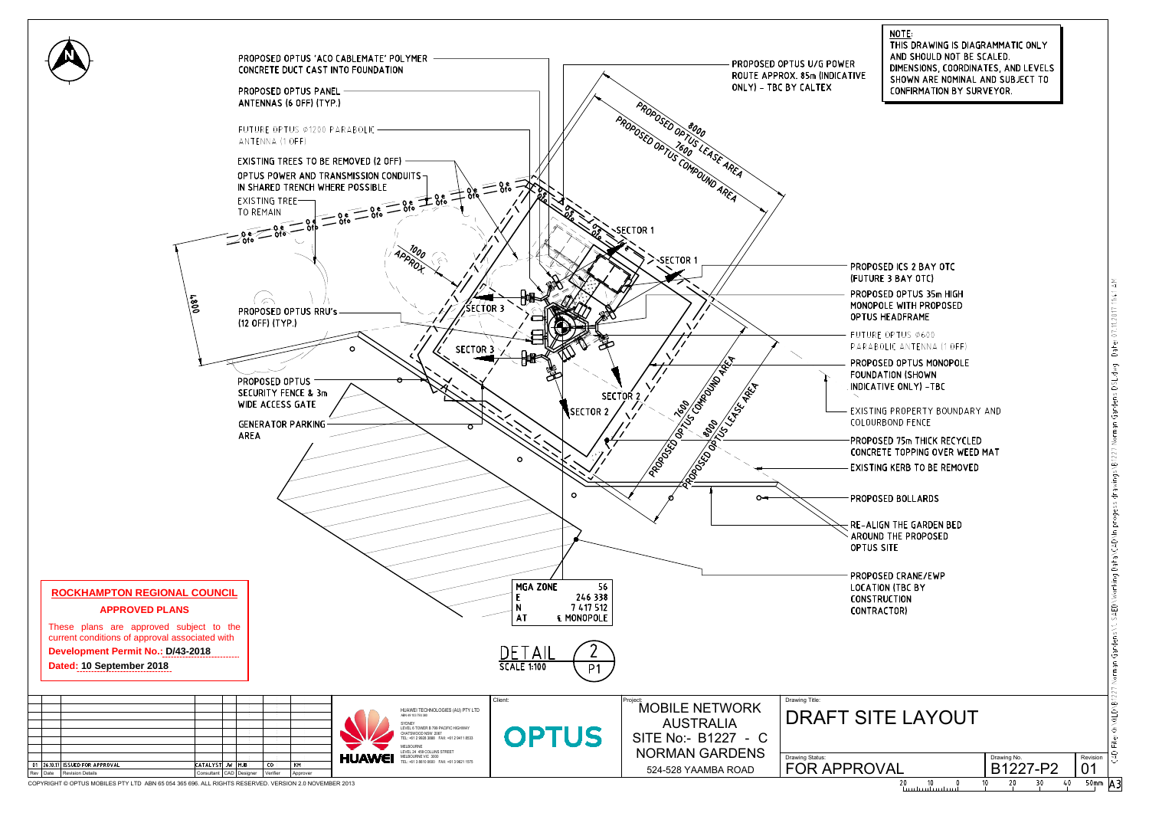

NOTE: THIS DRAWING IS DIAGRAMMATIC ONLY AND SHOULD NOT BE SCALED. DIMENSIONS, COORDINATES, AND LEVELS SHOWN ARE NOMINAL AND SUBJECT TO **CONFIRMATION BY SURVEYOR.** 

(FUTURE 3 BAY OTC) PROPOSED OPTUS 35m HIGH MONOPOLE WITH PROPOSED **OPTUS HEADFRAME** FUTURE OPTUS Ø600 PARABOLIC ANTENNA (1 OFF) PROPOSED OPTUS MONOPOLE **FOUNDATION (SHOWN** INDICATIVE ONLY) -TBC EXISTING PROPERTY BOUNDARY AND COLOURBOND FENCE PROPOSED 75m THICK RECYCLED CONCRETE TOPPING OVER WEED MAT **EXISTING KERB TO BE REMOVED PROPOSED BOLLARDS RE-ALIGN THE GARDEN BED** 

Dafe: 07.11.2017 11:41 AM Norman Gardens DSL.dwq drawings\B1227 ng Data\CAD\In progess  $Q: \triangle Q$ LD $\triangle P$ 1227 **CAD**